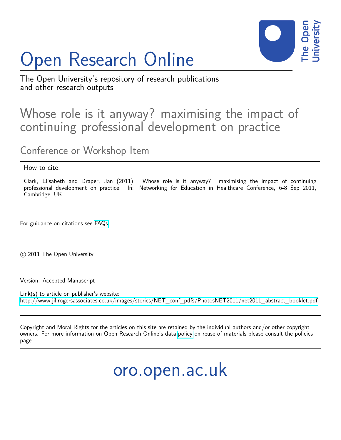# Open Research Online



The Open University's repository of research publications and other research outputs

## Whose role is it anyway? maximising the impact of continuing professional development on practice

Conference or Workshop Item

### How to cite:

Clark, Elisabeth and Draper, Jan (2011). Whose role is it anyway? maximising the impact of continuing professional development on practice. In: Networking for Education in Healthcare Conference, 6-8 Sep 2011, Cambridge, UK.

For guidance on citations see [FAQs.](http://oro.open.ac.uk/help/helpfaq.html)

c 2011 The Open University

Version: Accepted Manuscript

Link(s) to article on publisher's website: [http://www.jillrogersassociates.co.uk/images/stories/NET\\_conf\\_pdfs/PhotosNET2011/net2011\\_abstract\\_booklet.pdf](http://www.jillrogersassociates.co.uk/images/stories/NET_conf_pdfs/PhotosNET2011/net2011_abstract_booklet.pdf)

Copyright and Moral Rights for the articles on this site are retained by the individual authors and/or other copyright owners. For more information on Open Research Online's data [policy](http://oro.open.ac.uk/policies.html) on reuse of materials please consult the policies page.

oro.open.ac.uk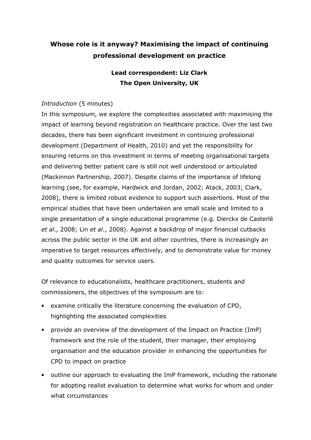## Whose role is it anyway? Maximising the impact of continuing professional development on practice

## Lead correspondent: Liz Clark The Open University, UK

## Introduction (5 minutes)

In this symposium, we explore the complexities associated with maximising the impact of learning beyond registration on healthcare practice. Over the last two decades, there has been significant investment in continuing professional development (Department of Health, 2010) and yet the responsibility for ensuring returns on this investment in terms of meeting organisational targets and delivering better patient care is still not well understood or articulated (Mackinnon Partnership, 2007). Despite claims of the importance of lifelong learning (see, for example, Hardwick and Jordan, 2002; Atack, 2003; Clark, 2008), there is limited robust evidence to support such assertions. Most of the empirical studies that have been undertaken are small scale and limited to a single presentation of a single educational programme (e.g. Dierckx de Casterlé et al., 2008; Lin et al., 2008). Against a backdrop of major financial cutbacks across the public sector in the UK and other countries, there is increasingly an imperative to target resources effectively, and to demonstrate value for money and quality outcomes for service users.

Of relevance to educationalists, healthcare practitioners, students and commissioners, the objectives of the symposium are to:

- examine critically the literature concerning the evaluation of CPD, highlighting the associated complexities
- provide an overview of the development of the Impact on Practice (ImP) framework and the role of the student, their manager, their employing organisation and the education provider in enhancing the opportunities for CPD to impact on practice
- outline our approach to evaluating the ImP framework, including the rationale for adopting realist evaluation to determine what works for whom and under what circumstances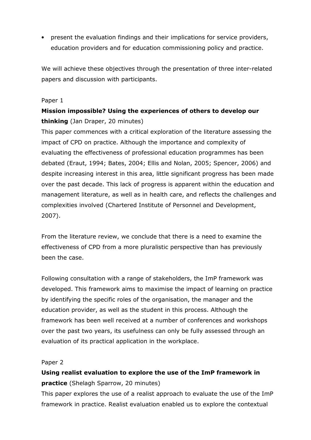• present the evaluation findings and their implications for service providers, education providers and for education commissioning policy and practice.

We will achieve these objectives through the presentation of three inter-related papers and discussion with participants.

## Paper 1

## Mission impossible? Using the experiences of others to develop our thinking (Jan Draper, 20 minutes)

This paper commences with a critical exploration of the literature assessing the impact of CPD on practice. Although the importance and complexity of evaluating the effectiveness of professional education programmes has been debated (Eraut, 1994; Bates, 2004; Ellis and Nolan, 2005; Spencer, 2006) and despite increasing interest in this area, little significant progress has been made over the past decade. This lack of progress is apparent within the education and management literature, as well as in health care, and reflects the challenges and complexities involved (Chartered Institute of Personnel and Development, 2007).

From the literature review, we conclude that there is a need to examine the effectiveness of CPD from a more pluralistic perspective than has previously been the case.

Following consultation with a range of stakeholders, the ImP framework was developed. This framework aims to maximise the impact of learning on practice by identifying the specific roles of the organisation, the manager and the education provider, as well as the student in this process. Although the framework has been well received at a number of conferences and workshops over the past two years, its usefulness can only be fully assessed through an evaluation of its practical application in the workplace.

### Paper 2

Using realist evaluation to explore the use of the ImP framework in practice (Shelagh Sparrow, 20 minutes)

This paper explores the use of a realist approach to evaluate the use of the ImP framework in practice. Realist evaluation enabled us to explore the contextual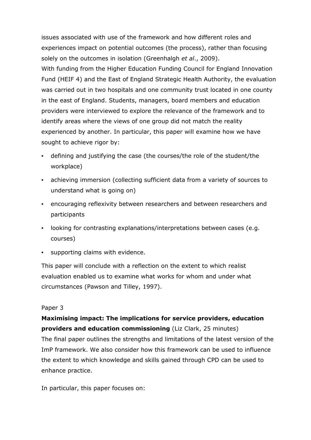issues associated with use of the framework and how different roles and experiences impact on potential outcomes (the process), rather than focusing solely on the outcomes in isolation (Greenhalgh et al., 2009). With funding from the Higher Education Funding Council for England Innovation Fund (HEIF 4) and the East of England Strategic Health Authority, the evaluation was carried out in two hospitals and one community trust located in one county in the east of England. Students, managers, board members and education providers were interviewed to explore the relevance of the framework and to identify areas where the views of one group did not match the reality experienced by another. In particular, this paper will examine how we have sought to achieve rigor by:

- defining and justifying the case (the courses/the role of the student/the workplace)
- achieving immersion (collecting sufficient data from a variety of sources to understand what is going on)
- encouraging reflexivity between researchers and between researchers and participants
- looking for contrasting explanations/interpretations between cases (e.g. courses)
- supporting claims with evidence.

This paper will conclude with a reflection on the extent to which realist evaluation enabled us to examine what works for whom and under what circumstances (Pawson and Tilley, 1997).

### Paper 3

## Maximising impact: The implications for service providers, education providers and education commissioning (Liz Clark, 25 minutes) The final paper outlines the strengths and limitations of the latest version of the ImP framework. We also consider how this framework can be used to influence the extent to which knowledge and skills gained through CPD can be used to enhance practice.

In particular, this paper focuses on: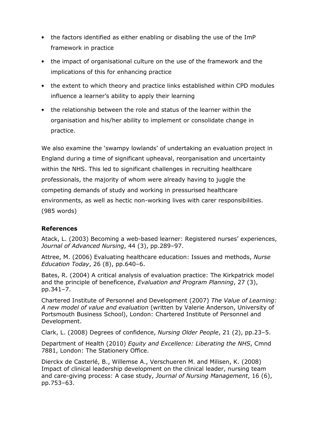- the factors identified as either enabling or disabling the use of the ImP framework in practice
- the impact of organisational culture on the use of the framework and the implications of this for enhancing practice
- the extent to which theory and practice links established within CPD modules influence a learner's ability to apply their learning
- the relationship between the role and status of the learner within the organisation and his/her ability to implement or consolidate change in practice.

We also examine the 'swampy lowlands' of undertaking an evaluation project in England during a time of significant upheaval, reorganisation and uncertainty within the NHS. This led to significant challenges in recruiting healthcare professionals, the majority of whom were already having to juggle the competing demands of study and working in pressurised healthcare environments, as well as hectic non-working lives with carer responsibilities. (985 words)

### References

Atack, L. (2003) Becoming a web-based learner: Registered nurses' experiences, Journal of Advanced Nursing, 44 (3), pp.289–97.

Attree, M. (2006) Evaluating healthcare education: Issues and methods, Nurse Education Today, 26 (8), pp.640–6.

Bates, R. (2004) A critical analysis of evaluation practice: The Kirkpatrick model and the principle of beneficence, Evaluation and Program Planning, 27 (3), pp.341–7.

Chartered Institute of Personnel and Development (2007) The Value of Learning: A new model of value and evaluation (written by Valerie Anderson, University of Portsmouth Business School), London: Chartered Institute of Personnel and Development.

Clark, L. (2008) Degrees of confidence, Nursing Older People, 21 (2), pp.23–5.

Department of Health (2010) Equity and Excellence: Liberating the NHS, Cmnd 7881, London: The Stationery Office.

Dierckx de Casterlé, B., Willemse A., Verschueren M. and Milisen, K. (2008) Impact of clinical leadership development on the clinical leader, nursing team and care-giving process: A case study, Journal of Nursing Management, 16 (6), pp.753–63.